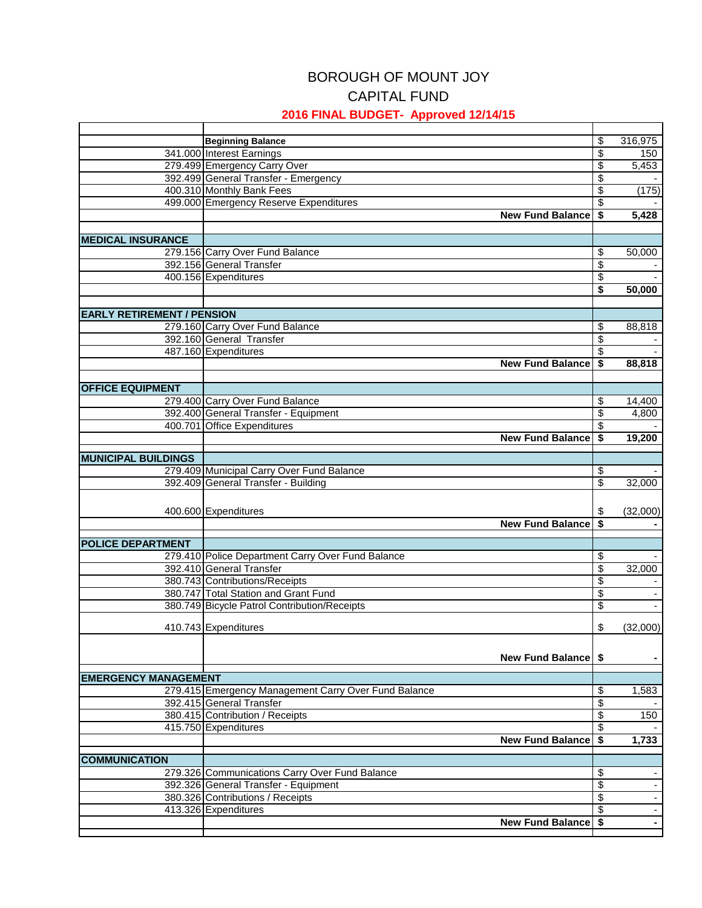## BOROUGH OF MOUNT JOY CAPITAL FUND

## **2016 FINAL BUDGET- Approved 12/14/15**

|                                   | <b>Beginning Balance</b>                                                      | \$                                     | 316,975  |
|-----------------------------------|-------------------------------------------------------------------------------|----------------------------------------|----------|
|                                   | 341.000 Interest Earnings                                                     | $\overline{\mathcal{S}}$               | 150      |
|                                   | 279.499 Emergency Carry Over                                                  | \$                                     | 5,453    |
|                                   | 392.499 General Transfer - Emergency                                          | $\overline{\$}$                        |          |
|                                   | 400.310 Monthly Bank Fees                                                     | $\overline{\$}$                        | (175)    |
|                                   | 499.000 Emergency Reserve Expenditures                                        | $\overline{\boldsymbol{\mathsf{s}}}$   |          |
|                                   | <b>New Fund Balance</b>                                                       | \$                                     | 5,428    |
|                                   |                                                                               |                                        |          |
| <b>MEDICAL INSURANCE</b>          |                                                                               |                                        |          |
|                                   | 279.156 Carry Over Fund Balance                                               | \$                                     | 50,000   |
|                                   | 392.156 General Transfer                                                      | $\overline{\boldsymbol{\theta}}$       |          |
|                                   | 400.156 Expenditures                                                          | \$                                     |          |
|                                   |                                                                               | \$                                     | 50,000   |
|                                   |                                                                               |                                        |          |
| <b>EARLY RETIREMENT / PENSION</b> |                                                                               |                                        |          |
|                                   | 279.160 Carry Over Fund Balance                                               | \$                                     | 88,818   |
|                                   | 392.160 General Transfer                                                      | \$                                     |          |
|                                   | 487.160 Expenditures                                                          | \$                                     |          |
|                                   | <b>New Fund Balance</b>                                                       | $\overline{\boldsymbol{\mathfrak{s}}}$ | 88,818   |
|                                   |                                                                               |                                        |          |
| <b>OFFICE EQUIPMENT</b>           |                                                                               |                                        |          |
|                                   | 279.400 Carry Over Fund Balance                                               | \$                                     | 14,400   |
|                                   | 392.400 General Transfer - Equipment                                          | \$                                     | 4,800    |
|                                   | 400.701 Office Expenditures                                                   | $\overline{\boldsymbol{\theta}}$       |          |
|                                   | <b>New Fund Balance</b>                                                       | $\overline{\boldsymbol{\mathsf{s}}}$   | 19,200   |
|                                   |                                                                               |                                        |          |
| <b>MUNICIPAL BUILDINGS</b>        |                                                                               |                                        |          |
|                                   | 279.409 Municipal Carry Over Fund Balance                                     | \$                                     |          |
|                                   | 392.409 General Transfer - Building                                           | \$                                     | 32,000   |
|                                   |                                                                               |                                        |          |
|                                   | 400.600 Expenditures                                                          | \$                                     | (32,000) |
|                                   | <b>New Fund Balance</b>                                                       | \$                                     |          |
|                                   |                                                                               |                                        |          |
| <b>POLICE DEPARTMENT</b>          |                                                                               |                                        |          |
|                                   | 279.410 Police Department Carry Over Fund Balance<br>392.410 General Transfer | \$                                     |          |
|                                   |                                                                               | \$                                     | 32,000   |
|                                   | 380.743 Contributions/Receipts                                                | $\overline{\mathcal{S}}$               |          |
|                                   | 380.747 Total Station and Grant Fund                                          | \$                                     |          |
|                                   | 380.749 Bicycle Patrol Contribution/Receipts                                  | \$                                     |          |
|                                   | 410.743 Expenditures                                                          | \$                                     | (32,000) |
|                                   |                                                                               |                                        |          |
|                                   |                                                                               |                                        |          |
|                                   | New Fund Balance \$                                                           |                                        |          |
| <b>EMERGENCY MANAGEMENT</b>       |                                                                               |                                        |          |
|                                   | 279.415 Emergency Management Carry Over Fund Balance                          | \$                                     | 1,583    |
|                                   | 392.415 General Transfer                                                      | \$                                     |          |
|                                   | 380.415 Contribution / Receipts                                               | $\overline{\boldsymbol{\mathsf{s}}}$   | 150      |
|                                   | 415.750 Expenditures                                                          | $\overline{\boldsymbol{\theta}}$       |          |
|                                   | <b>New Fund Balance</b>                                                       | $\overline{\boldsymbol{\mathfrak{s}}}$ | 1,733    |
|                                   |                                                                               |                                        |          |
| <b>COMMUNICATION</b>              |                                                                               |                                        |          |
|                                   | 279.326 Communications Carry Over Fund Balance                                | \$                                     |          |
|                                   | 392.326 General Transfer - Equipment                                          | \$                                     |          |
|                                   | 380.326 Contributions / Receipts                                              | $\overline{\mathcal{G}}$               |          |
|                                   | 413.326 Expenditures                                                          | $\overline{\$}$                        |          |
|                                   | <b>New Fund Balance</b>                                                       | \$                                     |          |
|                                   |                                                                               |                                        |          |